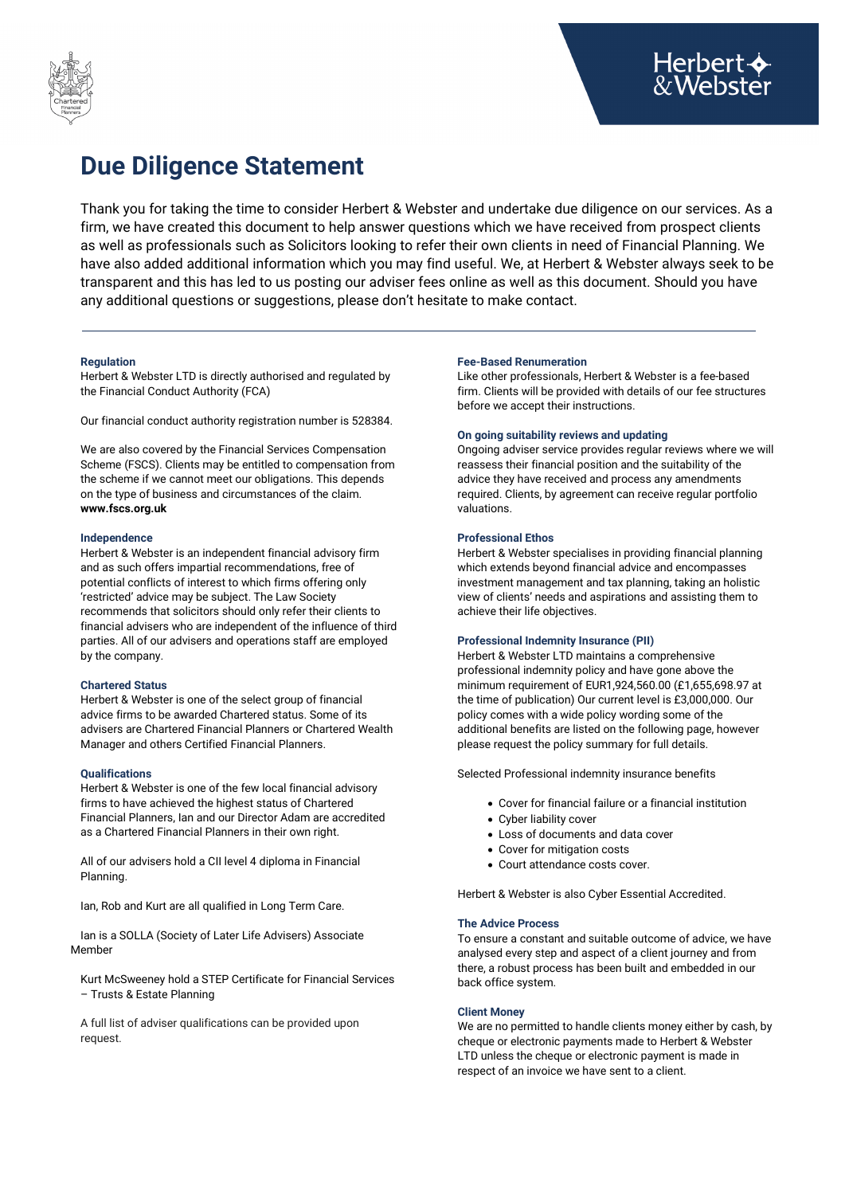

# **Due Diligence Statement**

Thank you for taking the time to consider Herbert & Webster and undertake due diligence on our services. As a firm, we have created this document to help answer questions which we have received from prospect clients as well as professionals such as Solicitors looking to refer their own clients in need of Financial Planning. We have also added additional information which you may find useful. We, at Herbert & Webster always seek to be transparent and this has led to us posting our adviser fees online as well as this document. Should you have any additional questions or suggestions, please don't hesitate to make contact.

# **Regulation**

Herbert & Webster LTD is directly authorised and regulated by the Financial Conduct Authority (FCA)

Our financial conduct authority registration number is 528384.

We are also covered by the Financial Services Compensation Scheme (FSCS). Clients may be entitled to compensation from the scheme if we cannot meet our obligations. This depends on the type of business and circumstances of the claim. **www.fscs.org.uk**

## **Independence**

Herbert & Webster is an independent financial advisory firm and as such offers impartial recommendations, free of potential conflicts of interest to which firms offering only 'restricted' advice may be subject. The Law Society recommends that solicitors should only refer their clients to financial advisers who are independent of the influence of third parties. All of our advisers and operations staff are employed by the company.

#### **Chartered Status**

Herbert & Webster is one of the select group of financial advice firms to be awarded Chartered status. Some of its advisers are Chartered Financial Planners or Chartered Wealth Manager and others Certified Financial Planners.

# **Qualifications**

Herbert & Webster is one of the few local financial advisory firms to have achieved the highest status of Chartered Financial Planners, Ian and our Director Adam are accredited as a Chartered Financial Planners in their own right.

All of our advisers hold a CII level 4 diploma in Financial Planning.

Ian, Rob and Kurt are all qualified in Long Term Care.

Ian is a SOLLA (Society of Later Life Advisers) Associate Member

Kurt McSweeney hold a STEP Certificate for Financial Services – Trusts & Estate Planning

A full list of adviser qualifications can be provided upon request.

#### **Fee-Based Renumeration**

Like other professionals, Herbert & Webster is a fee-based firm. Clients will be provided with details of our fee structures before we accept their instructions.

## **On going suitability reviews and updating**

Ongoing adviser service provides regular reviews where we will reassess their financial position and the suitability of the advice they have received and process any amendments required. Clients, by agreement can receive regular portfolio valuations.

# **Professional Ethos**

Herbert & Webster specialises in providing financial planning which extends beyond financial advice and encompasses investment management and tax planning, taking an holistic view of clients' needs and aspirations and assisting them to achieve their life objectives.

#### **Professional Indemnity Insurance (PII)**

Herbert & Webster LTD maintains a comprehensive professional indemnity policy and have gone above the minimum requirement of EUR1,924,560.00 (£1,655,698.97 at the time of publication) Our current level is £3,000,000. Our policy comes with a wide policy wording some of the additional benefits are listed on the following page, however please request the policy summary for full details.

Selected Professional indemnity insurance benefits

- Cover for financial failure or a financial institution
- Cyber liability cover
- Loss of documents and data cover
- Cover for mitigation costs
- Court attendance costs cover.

Herbert & Webster is also Cyber Essential Accredited.

## **The Advice Process**

To ensure a constant and suitable outcome of advice, we have analysed every step and aspect of a client journey and from there, a robust process has been built and embedded in our back office system.

#### **Client Money**

We are no permitted to handle clients money either by cash, by cheque or electronic payments made to Herbert & Webster LTD unless the cheque or electronic payment is made in respect of an invoice we have sent to a client.